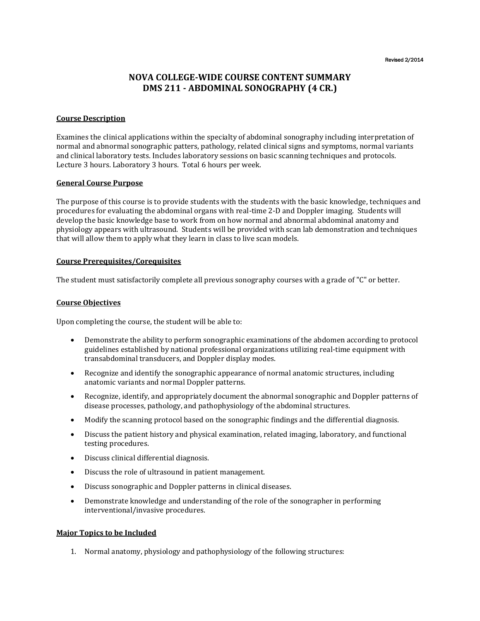Revised 2/2014

# **NOVA COLLEGE-WIDE COURSE CONTENT SUMMARY DMS 211 - ABDOMINAL SONOGRAPHY (4 CR.)**

# **Course Description**

Examines the clinical applications within the specialty of abdominal sonography including interpretation of normal and abnormal sonographic patters, pathology, related clinical signs and symptoms, normal variants and clinical laboratory tests. Includes laboratory sessions on basic scanning techniques and protocols. Lecture 3 hours. Laboratory 3 hours. Total 6 hours per week.

#### **General Course Purpose**

The purpose of this course is to provide students with the students with the basic knowledge, techniques and procedures for evaluating the abdominal organs with real-time 2-D and Doppler imaging. Students will develop the basic knowledge base to work from on how normal and abnormal abdominal anatomy and physiology appears with ultrasound. Students will be provided with scan lab demonstration and techniques that will allow them to apply what they learn in class to live scan models.

### **Course Prerequisites/Corequisites**

The student must satisfactorily complete all previous sonography courses with a grade of "C" or better.

### **Course Objectives**

Upon completing the course, the student will be able to:

- Demonstrate the ability to perform sonographic examinations of the abdomen according to protocol guidelines established by national professional organizations utilizing real-time equipment with transabdominal transducers, and Doppler display modes.
- Recognize and identify the sonographic appearance of normal anatomic structures, including anatomic variants and normal Doppler patterns.
- Recognize, identify, and appropriately document the abnormal sonographic and Doppler patterns of disease processes, pathology, and pathophysiology of the abdominal structures.
- Modify the scanning protocol based on the sonographic findings and the differential diagnosis.
- Discuss the patient history and physical examination, related imaging, laboratory, and functional testing procedures.
- Discuss clinical differential diagnosis.
- Discuss the role of ultrasound in patient management.
- Discuss sonographic and Doppler patterns in clinical diseases.
- Demonstrate knowledge and understanding of the role of the sonographer in performing interventional/invasive procedures.

# **Major Topics to be Included**

1. Normal anatomy, physiology and pathophysiology of the following structures: